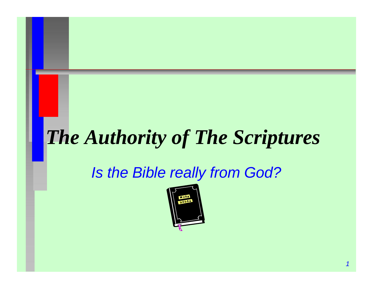## *The Authority of The Scriptures*

#### *Is the Bible really from God?*

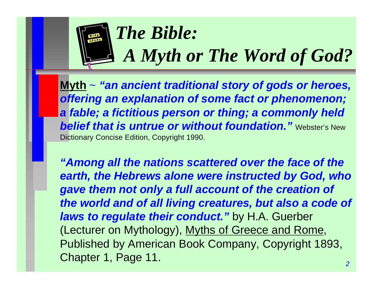

**Myth** ~ *"an ancient traditional story of gods or heroes, offering an explanation of some fact or phenomenon; a fable; a fictitious person or thing; a commonly held belief that is untrue or without foundation." Webster's New* Dictionary Concise Edition, Copyright 1990.

*"Among all the nations scattered over the face of the earth, the Hebrews alone were instructed by God, who gave them not only a full account of the creation of the world and of all living creatures, but also a code of laws to regulate their conduct."* by H.A. Guerber (Lecturer on Mythology), Myths of Greece and Rome, Published by American Book Company, Copyright 1893, Chapter 1, Page 11.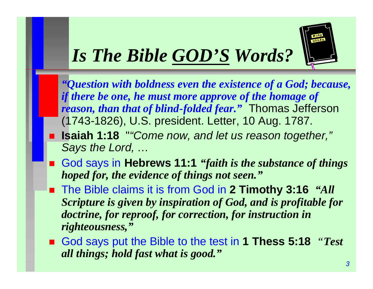# *Is The Bible GOD'S Words?*



n *"Question with boldness even the existence of a God; because, if there be one, he must more approve of the homage of reason, than that of blind-folded fear."* Thomas Jefferson (1743-1826), U.S. president. Letter, 10 Aug. 1787.

- **Example 1:18** ""Come now, and let us reason together," *Says the Lord, …*
- God says in Hebrews 11:1 *"faith is the substance of things hoped for, the evidence of things not seen."*
- The Bible claims it is from God in 2 Timothy 3:16 *"All Scripture is given by inspiration of God, and is profitable for doctrine, for reproof, for correction, for instruction in righteousness,"*
- God says put the Bible to the test in 1 Thess 5:18 *"Test all things; hold fast what is good."*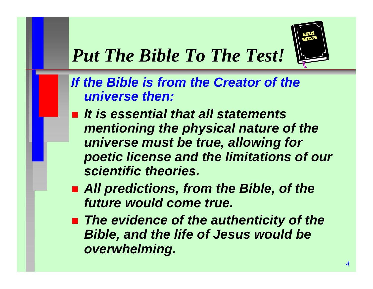

### *Put The Bible To The Test!*

*If the Bible is from the Creator of the universe then:*

- *It is essential that all statements mentioning the physical nature of the universe must be true, allowing for poetic license and the limitations of our scientific theories.*
- All predictions, from the Bible, of the *future would come true.*
- The evidence of the authenticity of the *Bible, and the life of Jesus would be overwhelming.*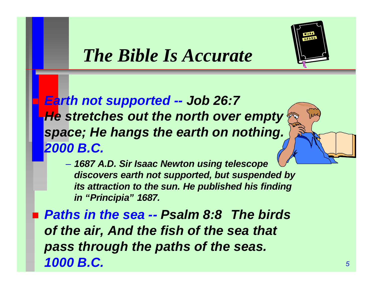

n *Earth not supported -- Job 26:7 He stretches out the north over empty space; He hangs the earth on nothing. 2000 B.C.*

– *1687 A.D. Sir Isaac Newton using telescope discovers earth not supported, but suspended by its attraction to the sun. He published his finding in "Principia" 1687.*

■ *Paths in the sea -- Psalm 8:8 The birds of the air, And the fish of the sea that pass through the paths of the seas. 1000 B.C.*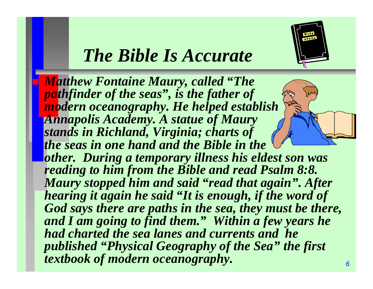

*6*

### *The Bible Is Accurate*

**Matthew Fontaine Maury, called "The** *pathfinder of the seas", is the father of modern oceanography. He helped establish Annapolis Academy. A statue of Maury stands in Richland, Virginia; charts of the seas in one hand and the Bible in the other. During a temporary illness his eldest son was reading to him from the Bible and read Psalm 8:8. Maury stopped him and said "read that again". After hearing it again he said "It is enough, if the word of God says there are paths in the sea, they must be there, and I am going to find them." Within a few years he had charted the sea lanes and currents and he published "Physical Geography of the Sea" the first textbook of modern oceanography.*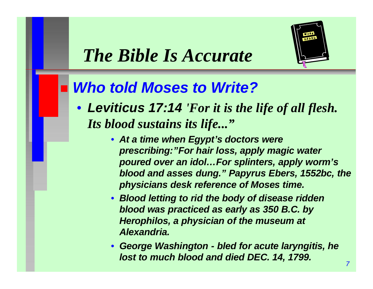

#### **Who told Moses to Write?**

- *Leviticus 17:14 'For it is the life of all flesh. Its blood sustains its life..."*
	- *At a time when Egypt's doctors were prescribing:"For hair loss, apply magic water poured over an idol…For splinters, apply worm's blood and asses dung." Papyrus Ebers, 1552bc, the physicians desk reference of Moses time.*
	- *Blood letting to rid the body of disease ridden blood was practiced as early as 350 B.C. by Herophilos, a physician of the museum at Alexandria.*
	- *George Washington - bled for acute laryngitis, he lost to much blood and died DEC. 14, 1799.*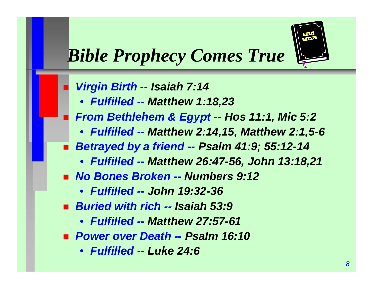

## *Bible Prophecy Comes True*

- n *Virgin Birth -- Isaiah 7:14*
	- *Fulfilled -- Matthew 1:18,23*
- n *From Bethlehem & Egypt -- Hos 11:1, Mic 5:2*
	- *Fulfilled -- Matthew 2:14,15, Matthew 2:1,5-6*
- n *Betrayed by a friend -- Psalm 41:9; 55:12-14*
	- *Fulfilled -- Matthew 26:47-56, John 13:18,21*
- *No Bones Broken -- Numbers 9:12* 
	- *Fulfilled -- John 19:32-36*
- n *Buried with rich -- Isaiah 53:9*
	- *Fulfilled -- Matthew 27:57-61*
- n *Power over Death -- Psalm 16:10*
	- *Fulfilled -- Luke 24:6*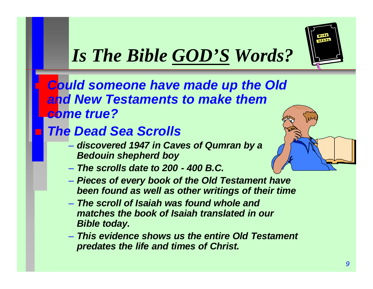

## *Is The Bible GOD'S Words?*

**Could someone have made up the Old** *and New Testaments to make them come true?*

#### **The Dead Sea Scrolls**

- *discovered 1947 in Caves of Qumran by a Bedouin shepherd boy*
- *The scrolls date to 200 - 400 B.C.*
- *Pieces of every book of the Old Testament have been found as well as other writings of their time*
- *The scroll of Isaiah was found whole and matches the book of Isaiah translated in our Bible today.*
- *This evidence shows us the entire Old Testament predates the life and times of Christ.*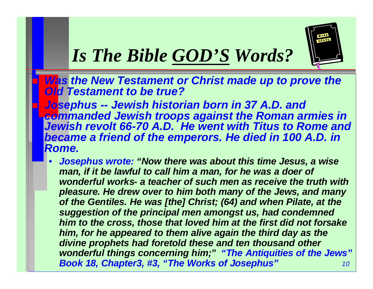

*Mas the New Testament or Christ made up to prove the Old Testament to be true?*

n *Josephus -- Jewish historian born in 37 A.D. and commanded Jewish troops against the Roman armies in Jewish revolt 66-70 A.D. He went with Titus to Rome and*  **became a friend of the emperors. He died in 100 A.D. in** *Rome.*

*10* • *Josephus wrote: "Now there was about this time Jesus, a wise*  man, if it be lawful to call him a man, for he was a doer of *wonderful works- a teacher of such men as receive the truth with pleasure. He drew over to him both many of the Jews, and many of the Gentiles. He was [the] Christ; (64) and when Pilate, at the suggestion of the principal men amongst us, had condemned him to the cross, those that loved him at the first did not forsake him, for he appeared to them alive again the third day as the divine prophets had foretold these and ten thousand other wonderful things concerning him;" "The Antiquities of the Jews" Book 18, Chapter3, #3, "The Works of Josephus"*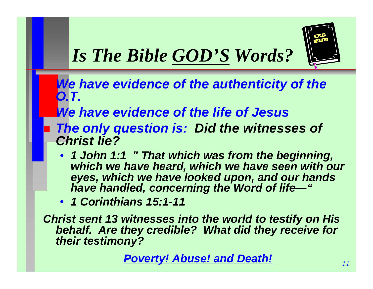

- **We have evidence of the authenticity of the** *O.T.*
- **We have evidence of the life of Jesus**
- **The only question is: Did the witnesses of** *Christ lie?*
	- *1 John 1:1 " That which was from the beginning, which we have heard, which we have seen with our eyes, which we have looked upon, and our hands have handled, concerning the Word of life—"*
	- *1 Corinthians 15:1-11*

*Christ sent 13 witnesses into the world to testify on His behalf. Are they credible? What did they receive for their testimony?*

*Poverty! Abuse! and Death!*